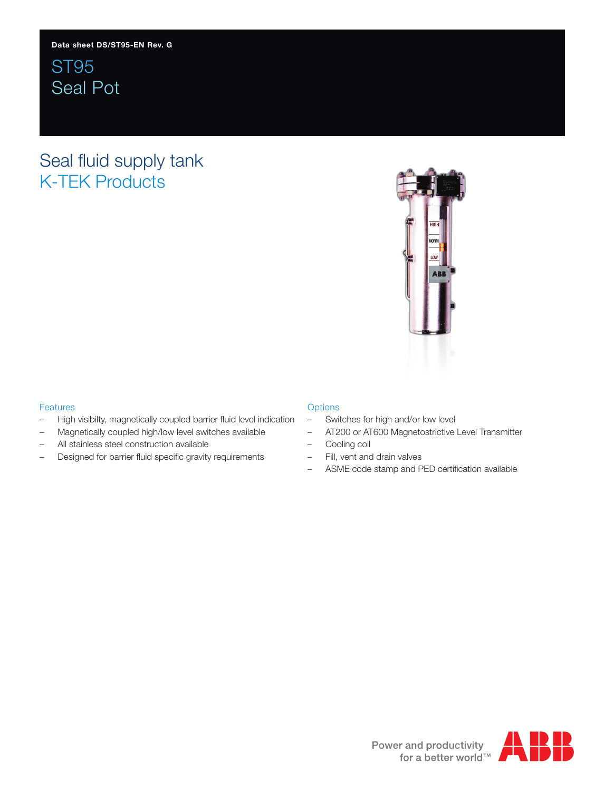ST95 Seal Pot

## Seal fluid supply tank K-TEK Products



### Features

- High visibilty, magnetically coupled barrier fluid level indication
- Magnetically coupled high/low level switches available
- All stainless steel construction available
- Designed for barrier fluid specific gravity requirements

### **Options**

- Switches for high and/or low level
- AT200 or AT600 Magnetostrictive Level Transmitter
- Cooling coil
- Fill, vent and drain valves
- ASME code stamp and PED certification available

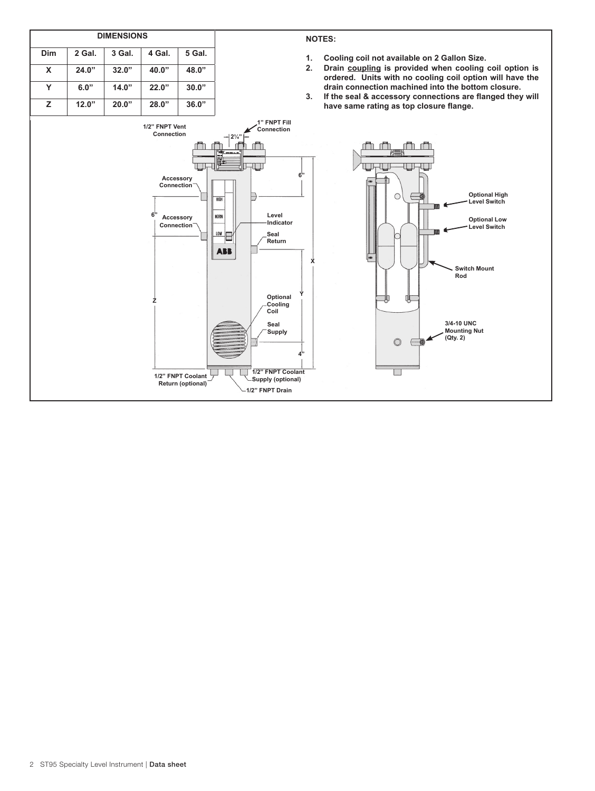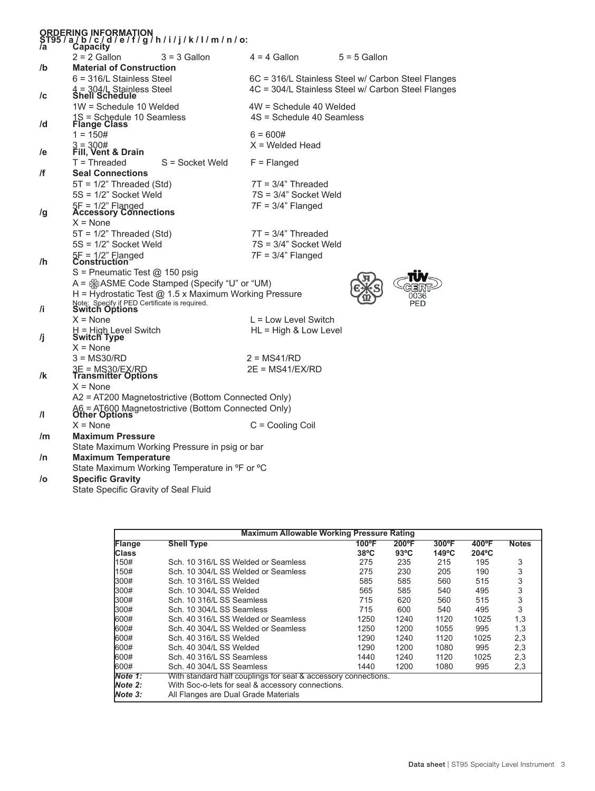| ORDERING INFORMATION<br>ST95/a/b/c/d/e/f/g/h/i/j/k/l/m/n/o:<br>/a         Capacity |                                                                                                                             |                                                       |                                                                                                          |                |  |  |  |  |  |
|------------------------------------------------------------------------------------|-----------------------------------------------------------------------------------------------------------------------------|-------------------------------------------------------|----------------------------------------------------------------------------------------------------------|----------------|--|--|--|--|--|
|                                                                                    |                                                                                                                             |                                                       |                                                                                                          |                |  |  |  |  |  |
|                                                                                    | $2 = 2$ Gallon                                                                                                              | $3 = 3$ Gallon                                        | $4 = 4$ Gallon                                                                                           | $5 = 5$ Gallon |  |  |  |  |  |
| /b                                                                                 | <b>Material of Construction</b><br>$6 = 316/L$ Stainless Steel                                                              |                                                       |                                                                                                          |                |  |  |  |  |  |
| /c                                                                                 | 4 = 304/L Stainless Steel<br>Shell Schedule                                                                                 |                                                       | 6C = 316/L Stainless Steel w/ Carbon Steel Flanges<br>4C = 304/L Stainless Steel w/ Carbon Steel Flanges |                |  |  |  |  |  |
|                                                                                    | 1W = Schedule 10 Welded                                                                                                     |                                                       | 4W = Schedule 40 Welded                                                                                  |                |  |  |  |  |  |
| /d                                                                                 | 1S = Schedule 10 Seamless<br>Flange Class                                                                                   |                                                       | 4S = Schedule 40 Seamless                                                                                |                |  |  |  |  |  |
|                                                                                    | $1 = 150#$                                                                                                                  |                                                       | $6 = 600#$                                                                                               |                |  |  |  |  |  |
| /e                                                                                 | $3 = 300#$<br>Fill, Vent & Drain                                                                                            |                                                       | $X =$ Welded Head                                                                                        |                |  |  |  |  |  |
|                                                                                    | $T = Threaded$                                                                                                              | S = Socket Weld                                       | $F =$ Flanged                                                                                            |                |  |  |  |  |  |
| /f                                                                                 | <b>Seal Connections</b>                                                                                                     |                                                       |                                                                                                          |                |  |  |  |  |  |
|                                                                                    | $5T = 1/2$ " Threaded (Std)                                                                                                 |                                                       | $7T = 3/4"$ Threaded                                                                                     |                |  |  |  |  |  |
|                                                                                    | 5S = 1/2" Socket Weld                                                                                                       |                                                       | 7S = 3/4" Socket Weld                                                                                    |                |  |  |  |  |  |
| /g                                                                                 | 5F = 1/2" Flanged<br>Accessory Connections                                                                                  |                                                       | $7F = 3/4"$ Flanged                                                                                      |                |  |  |  |  |  |
|                                                                                    | $X = None$                                                                                                                  |                                                       |                                                                                                          |                |  |  |  |  |  |
|                                                                                    | $5T = 1/2$ " Threaded (Std)                                                                                                 |                                                       | $7T = 3/4"$ Threaded                                                                                     |                |  |  |  |  |  |
|                                                                                    | 5S = 1/2" Socket Weld                                                                                                       |                                                       | 7S = 3/4" Socket Weld                                                                                    |                |  |  |  |  |  |
| /h                                                                                 | 5F = 1/2" Flanged<br>Construction                                                                                           |                                                       | $7F = 3/4"$ Flanged                                                                                      |                |  |  |  |  |  |
|                                                                                    | $S =$ Pneumatic Test @ 150 psig                                                                                             |                                                       |                                                                                                          |                |  |  |  |  |  |
|                                                                                    |                                                                                                                             | A = SASME Code Stamped (Specify "U" or "UM)           |                                                                                                          |                |  |  |  |  |  |
|                                                                                    |                                                                                                                             | H = Hydrostatic Test @ 1.5 x Maximum Working Pressure |                                                                                                          | PED            |  |  |  |  |  |
| /i                                                                                 | Note: Specify if PED Certificate is required.<br>Switch Options                                                             |                                                       |                                                                                                          |                |  |  |  |  |  |
|                                                                                    | $X = None$                                                                                                                  |                                                       | $L =$ Low Level Switch                                                                                   |                |  |  |  |  |  |
| /j                                                                                 | H = High Level Switch<br><b>Switch Type</b>                                                                                 |                                                       | HL = High & Low Level                                                                                    |                |  |  |  |  |  |
|                                                                                    | $X = None$                                                                                                                  |                                                       |                                                                                                          |                |  |  |  |  |  |
|                                                                                    | $3 = MS30/RD$                                                                                                               |                                                       | $2 = MS41/RD$                                                                                            |                |  |  |  |  |  |
| /k                                                                                 | 3E = MS30/EX/RD<br>Transmitter Options                                                                                      |                                                       | $2E = MS41/EX/RD$                                                                                        |                |  |  |  |  |  |
|                                                                                    | $X = None$                                                                                                                  |                                                       |                                                                                                          |                |  |  |  |  |  |
|                                                                                    | A2 = AT200 Magnetostrictive (Bottom Connected Only)<br>A6 = AT600 Magnetostrictive (Bottom Connected Only)<br>Other Options |                                                       |                                                                                                          |                |  |  |  |  |  |
| $\mathbf{\mu}$                                                                     |                                                                                                                             |                                                       |                                                                                                          |                |  |  |  |  |  |
|                                                                                    | $X = None$                                                                                                                  |                                                       | $C =$ Cooling Coil                                                                                       |                |  |  |  |  |  |
| /m                                                                                 | <b>Maximum Pressure</b>                                                                                                     |                                                       |                                                                                                          |                |  |  |  |  |  |
|                                                                                    | State Maximum Working Pressure in psig or bar                                                                               |                                                       |                                                                                                          |                |  |  |  |  |  |
| /n                                                                                 |                                                                                                                             | <b>Maximum Temperature</b>                            |                                                                                                          |                |  |  |  |  |  |
|                                                                                    | State Maximum Working Temperature in °F or °C                                                                               |                                                       |                                                                                                          |                |  |  |  |  |  |
| /o                                                                                 | <b>Specific Gravity</b><br>State Specific Gravity of Seal Fluid                                                             |                                                       |                                                                                                          |                |  |  |  |  |  |

| <b>Maximum Allowable Working Pressure Rating</b> |                                                                |                |                 |                 |                      |              |  |  |  |
|--------------------------------------------------|----------------------------------------------------------------|----------------|-----------------|-----------------|----------------------|--------------|--|--|--|
| Flange                                           | <b>Shell Type</b>                                              | 100°F          | $200^{\circ}$ F | $300^{\circ}$ F | $400^{\circ}$ F      | <b>Notes</b> |  |  |  |
| <b>Class</b>                                     |                                                                | $38^{\circ}$ C | $93^{\circ}$ C  | $149^{\circ}$ C | $204$ <sup>o</sup> C |              |  |  |  |
| 150#                                             | Sch. 10 316/L SS Welded or Seamless                            | 275            | 235             | 215             | 195                  | 3            |  |  |  |
| 150#                                             | Sch. 10 304/L SS Welded or Seamless                            | 275            | 230             | 205             | 190                  | 3            |  |  |  |
| 300#                                             | Sch. 10 316/L SS Welded                                        | 585            | 585             | 560             | 515                  | 3            |  |  |  |
| 1300#                                            | Sch. 10 304/L SS Welded                                        | 565            | 585             | 540             | 495                  | 3            |  |  |  |
| 300#                                             | Sch. 10 316/L SS Seamless                                      | 715            | 620             | 560             | 515                  | 3            |  |  |  |
| 1300#                                            | Sch. 10 304/L SS Seamless                                      | 715            | 600             | 540             | 495                  | 3            |  |  |  |
| 600#                                             | Sch. 40 316/L SS Welded or Seamless                            | 1250           | 1240            | 1120            | 1025                 | 1,3          |  |  |  |
| 600#                                             | Sch. 40 304/L SS Welded or Seamless                            | 1250           | 1200            | 1055            | 995                  | 1,3          |  |  |  |
| 600#                                             | Sch. 40 316/L SS Welded                                        | 1290           | 1240            | 1120            | 1025                 | 2,3          |  |  |  |
| 1600#                                            | Sch. 40 304/L SS Welded                                        | 1290           | 1200            | 1080            | 995                  | 2,3          |  |  |  |
| <b>1600#</b>                                     | Sch. 40 316/L SS Seamless                                      | 1440           | 1240            | 1120            | 1025                 | 2,3          |  |  |  |
| 600#                                             | Sch. 40 304/L SS Seamless                                      | 1440           | 1200            | 1080            | 995                  | 2,3          |  |  |  |
| Note 1:                                          | With standard half couplings for seal & accessory connections. |                |                 |                 |                      |              |  |  |  |
| Note 2:                                          | With Soc-o-lets for seal & accessory connections.              |                |                 |                 |                      |              |  |  |  |
| <b>Note 3:</b>                                   | All Flanges are Dual Grade Materials                           |                |                 |                 |                      |              |  |  |  |